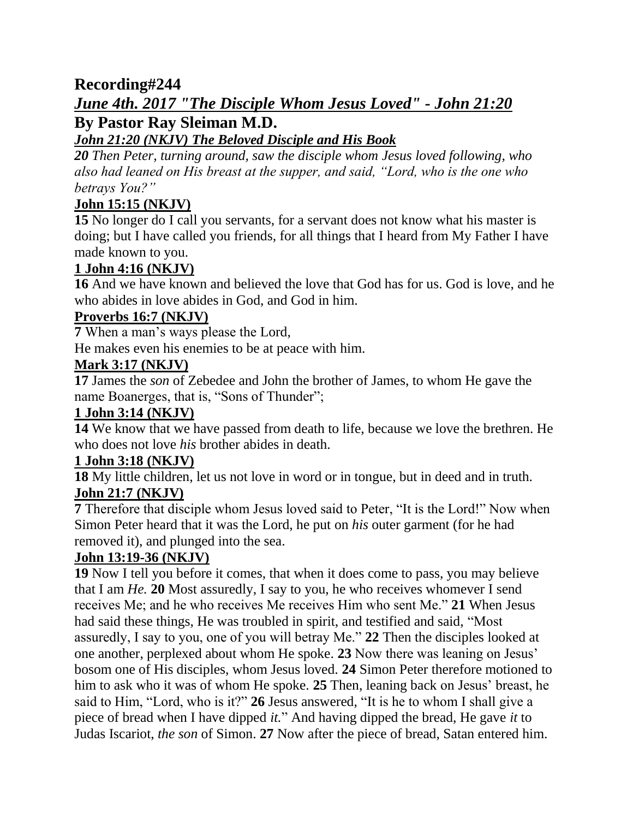# **Recording#244** *June 4th. 2017 "The Disciple Whom Jesus Loved" - John 21:20* **By Pastor Ray Sleiman M.D.**

# *John 21:20 (NKJV) The Beloved Disciple and His Book*

*20 Then Peter, turning around, saw the disciple whom Jesus loved following, who also had leaned on His breast at the supper, and said, "Lord, who is the one who betrays You?"*

# **John 15:15 (NKJV)**

**15** No longer do I call you servants, for a servant does not know what his master is doing; but I have called you friends, for all things that I heard from My Father I have made known to you.

## **1 John 4:16 (NKJV)**

**16** And we have known and believed the love that God has for us. God is love, and he who abides in love abides in God, and God in him.

### **Proverbs 16:7 (NKJV)**

**7** When a man's ways please the Lord,

He makes even his enemies to be at peace with him.

### **Mark 3:17 (NKJV)**

**17** James the *son* of Zebedee and John the brother of James, to whom He gave the name Boanerges, that is, "Sons of Thunder";

## **1 John 3:14 (NKJV)**

**14** We know that we have passed from death to life, because we love the brethren. He who does not love *his* brother abides in death.

## **1 John 3:18 (NKJV)**

**18** My little children, let us not love in word or in tongue, but in deed and in truth. **John 21:7 (NKJV)**

**7** Therefore that disciple whom Jesus loved said to Peter, "It is the Lord!" Now when Simon Peter heard that it was the Lord, he put on *his* outer garment (for he had removed it), and plunged into the sea.

### **John 13:19-36 (NKJV)**

**19** Now I tell you before it comes, that when it does come to pass, you may believe that I am *He.* **20** Most assuredly, I say to you, he who receives whomever I send receives Me; and he who receives Me receives Him who sent Me." **21** When Jesus had said these things, He was troubled in spirit, and testified and said, "Most assuredly, I say to you, one of you will betray Me." **22** Then the disciples looked at one another, perplexed about whom He spoke. **23** Now there was leaning on Jesus' bosom one of His disciples, whom Jesus loved. **24** Simon Peter therefore motioned to him to ask who it was of whom He spoke. **25** Then, leaning back on Jesus' breast, he said to Him, "Lord, who is it?" **26** Jesus answered, "It is he to whom I shall give a piece of bread when I have dipped *it.*" And having dipped the bread, He gave *it* to Judas Iscariot, *the son* of Simon. **27** Now after the piece of bread, Satan entered him.